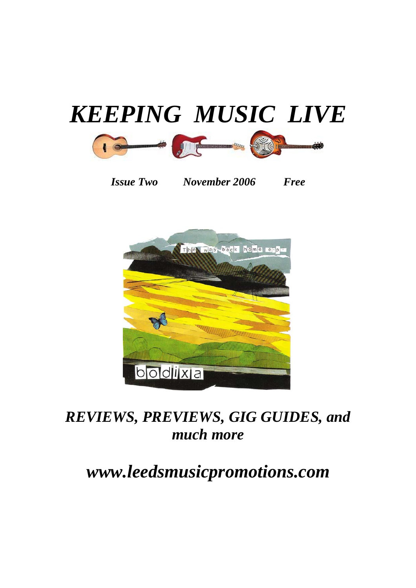

*Issue Two November 2006 Free* 



# *REVIEWS, PREVIEWS, GIG GUIDES, and much more*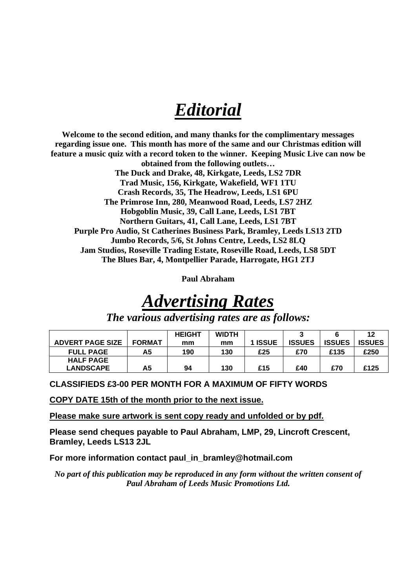# *Editorial*

**Welcome to the second edition, and many thanks for the complimentary messages regarding issue one. This month has more of the same and our Christmas edition will feature a music quiz with a record token to the winner. Keeping Music Live can now be obtained from the following outlets… The Duck and Drake, 48, Kirkgate, Leeds, LS2 7DR Trad Music, 156, Kirkgate, Wakefield, WF1 1TU Crash Records, 35, The Headrow, Leeds, LS1 6PU The Primrose Inn, 280, Meanwood Road, Leeds, LS7 2HZ Hobgoblin Music, 39, Call Lane, Leeds, LS1 7BT Northern Guitars, 41, Call Lane, Leeds, LS1 7BT Purple Pro Audio, St Catherines Business Park, Bramley, Leeds LS13 2TD Jumbo Records, 5/6, St Johns Centre, Leeds, LS2 8LQ Jam Studios, Roseville Trading Estate, Roseville Road, Leeds, LS8 5DT The Blues Bar, 4, Montpellier Parade, Harrogate, HG1 2TJ** 

**Paul Abraham** 

# *Advertising Rates*

*The various advertising rates are as follows:* 

|                         |               | <b>HEIGHT</b> | <b>WIDTH</b> |         |               |               | 12            |
|-------------------------|---------------|---------------|--------------|---------|---------------|---------------|---------------|
| <b>ADVERT PAGE SIZE</b> | <b>FORMAT</b> | mm            | mm           | 1 ISSUE | <b>ISSUES</b> | <b>ISSUES</b> | <b>ISSUES</b> |
| <b>FULL PAGE</b>        | Α5            | 190           | 130          | £25     | £70           | £135          | £250          |
| <b>HALF PAGE</b>        |               |               |              |         |               |               |               |
| <b>LANDSCAPE</b>        | А5            | 94            | 130          | £15     | £40           | £70           | £125          |

**CLASSIFIEDS £3-00 PER MONTH FOR A MAXIMUM OF FIFTY WORDS** 

**COPY DATE 15th of the month prior to the next issue.**

**Please make sure artwork is sent copy ready and unfolded or by pdf.**

**Please send cheques payable to Paul Abraham, LMP, 29, Lincroft Crescent, Bramley, Leeds LS13 2JL** 

**For more information contact paul\_in\_bramley@hotmail.com** 

*No part of this publication may be reproduced in any form without the written consent of Paul Abraham of Leeds Music Promotions Ltd.*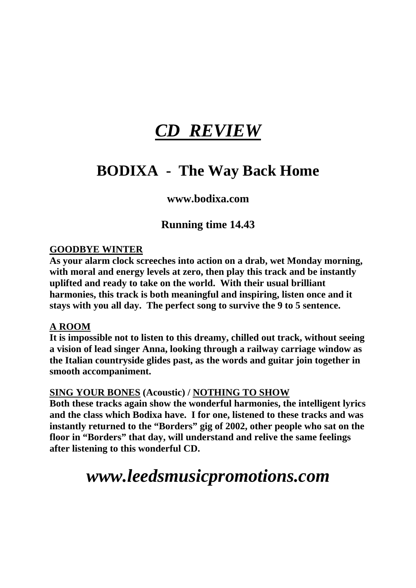# *CD REVIEW*

### **BODIXA - The Way Back Home**

### **www.bodixa.com**

### **Running time 14.43**

### **GOODBYE WINTER**

**As your alarm clock screeches into action on a drab, wet Monday morning, with moral and energy levels at zero, then play this track and be instantly uplifted and ready to take on the world. With their usual brilliant harmonies, this track is both meaningful and inspiring, listen once and it stays with you all day. The perfect song to survive the 9 to 5 sentence.** 

### **A ROOM**

**It is impossible not to listen to this dreamy, chilled out track, without seeing a vision of lead singer Anna, looking through a railway carriage window as the Italian countryside glides past, as the words and guitar join together in smooth accompaniment.** 

### **SING YOUR BONES (Acoustic) / NOTHING TO SHOW**

**Both these tracks again show the wonderful harmonies, the intelligent lyrics and the class which Bodixa have. I for one, listened to these tracks and was instantly returned to the "Borders" gig of 2002, other people who sat on the floor in "Borders" that day, will understand and relive the same feelings after listening to this wonderful CD.**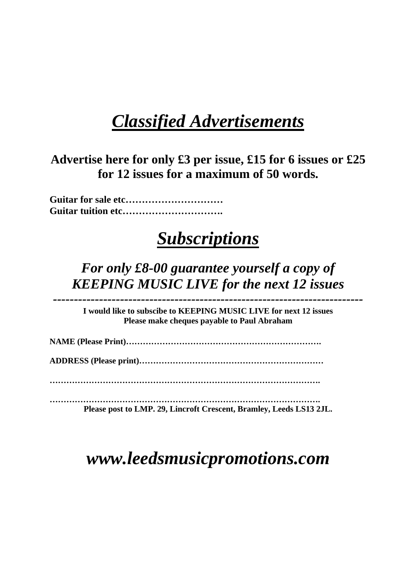# *Classified Advertisements*

**Advertise here for only £3 per issue, £15 for 6 issues or £25 for 12 issues for a maximum of 50 words.** 

**Guitar for sale etc………………………… Guitar tuition etc………………………….** 

# *Subscriptions*

*For only £8-00 guarantee yourself a copy of KEEPING MUSIC LIVE for the next 12 issues* 

*--------------------------------------------------------------------------*  **I would like to subscibe to KEEPING MUSIC LIVE for next 12 issues Please make cheques payable to Paul Abraham** 

**NAME (Please Print)…………………………………………………………….** 

**ADDRESS (Please print)…………………………………………………………** 

**…………………………………………………………………………………….** 

**…………………………………………………………………………………….** 

**Please post to LMP. 29, Lincroft Crescent, Bramley, Leeds LS13 2JL.**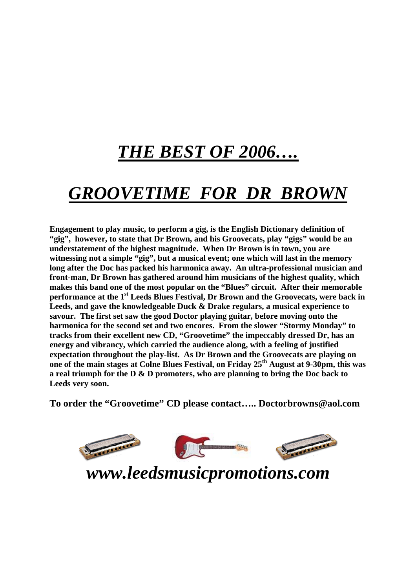# *THE BEST OF 2006….*

# *GROOVETIME FOR DR BROWN*

**Engagement to play music, to perform a gig, is the English Dictionary definition of "gig", however, to state that Dr Brown, and his Groovecats, play "gigs" would be an understatement of the highest magnitude. When Dr Brown is in town, you are witnessing not a simple "gig", but a musical event; one which will last in the memory long after the Doc has packed his harmonica away. An ultra-professional musician and front-man, Dr Brown has gathered around him musicians of the highest quality, which makes this band one of the most popular on the "Blues" circuit. After their memorable performance at the 1<sup>st</sup> Leeds Blues Festival, Dr Brown and the Groovecats, were back in Leeds, and gave the knowledgeable Duck & Drake regulars, a musical experience to savour. The first set saw the good Doctor playing guitar, before moving onto the harmonica for the second set and two encores. From the slower "Stormy Monday" to tracks from their excellent new CD, "Groovetime" the impeccably dressed Dr, has an energy and vibrancy, which carried the audience along, with a feeling of justified expectation throughout the play-list. As Dr Brown and the Groovecats are playing on one of the main stages at Colne Blues Festival, on Friday 25th August at 9-30pm, this was a real triumph for the D & D promoters, who are planning to bring the Doc back to Leeds very soon.** 

**To order the "Groovetime" CD please contact….. [Doctorbrowns@aol.com](mailto:Doctorbrowns@aol.com)**

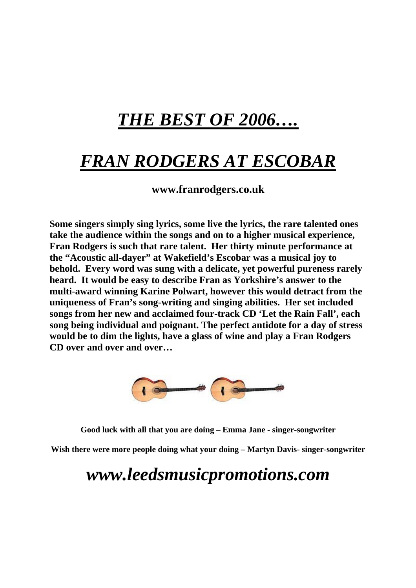# *THE BEST OF 2006….*

# *FRAN RODGERS AT ESCOBAR*

**www.franrodgers.co.uk** 

**Some singers simply sing lyrics, some live the lyrics, the rare talented ones take the audience within the songs and on to a higher musical experience, Fran Rodgers is such that rare talent. Her thirty minute performance at the "Acoustic all-dayer" at Wakefield's Escobar was a musical joy to behold. Every word was sung with a delicate, yet powerful pureness rarely heard. It would be easy to describe Fran as Yorkshire's answer to the multi-award winning Karine Polwart, however this would detract from the uniqueness of Fran's song-writing and singing abilities. Her set included songs from her new and acclaimed four-track CD 'Let the Rain Fall', each song being individual and poignant. The perfect antidote for a day of stress would be to dim the lights, have a glass of wine and play a Fran Rodgers CD over and over and over…** 



**Good luck with all that you are doing – Emma Jane - singer-songwriter** 

**Wish there were more people doing what your doing – Martyn Davis- singer-songwriter**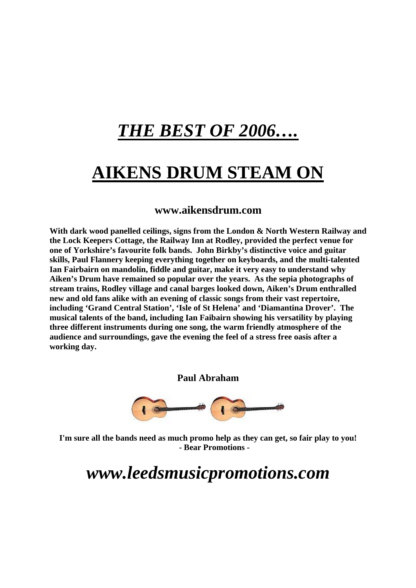# *THE BEST OF 2006….*

# **AIKENS DRUM STEAM ON**

#### **[www.aikensdrum.com](http://www.aikensdrum.com/)**

**With dark wood panelled ceilings, signs from the London & North Western Railway and the Lock Keepers Cottage, the Railway Inn at Rodley, provided the perfect venue for one of Yorkshire's favourite folk bands. John Birkby's distinctive voice and guitar skills, Paul Flannery keeping everything together on keyboards, and the multi-talented Ian Fairbairn on mandolin, fiddle and guitar, make it very easy to understand why Aiken's Drum have remained so popular over the years. As the sepia photographs of stream trains, Rodley village and canal barges looked down, Aiken's Drum enthralled new and old fans alike with an evening of classic songs from their vast repertoire, including 'Grand Central Station', 'Isle of St Helena' and 'Diamantina Drover'. The musical talents of the band, including Ian Faibairn showing his versatility by playing three different instruments during one song, the warm friendly atmosphere of the audience and surroundings, gave the evening the feel of a stress free oasis after a working day.** 

**Paul Abraham** 



**I'm sure all the bands need as much promo help as they can get, so fair play to you! - Bear Promotions -**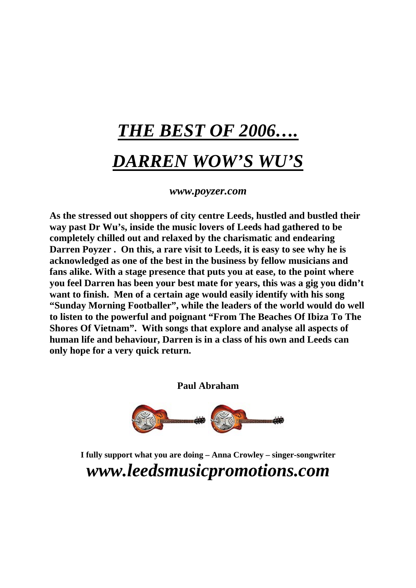# *THE BEST OF 2006…. DARREN WOW'S WU'S*

#### *[www.poyzer](http://www.poyzer/).com*

**As the stressed out shoppers of city centre Leeds, hustled and bustled their way past Dr Wu's, inside the music lovers of Leeds had gathered to be completely chilled out and relaxed by the charismatic and endearing Darren Poyzer . On this, a rare visit to Leeds, it is easy to see why he is acknowledged as one of the best in the business by fellow musicians and fans alike. With a stage presence that puts you at ease, to the point where you feel Darren has been your best mate for years, this was a gig you didn't want to finish. Men of a certain age would easily identify with his song "Sunday Morning Footballer", while the leaders of the world would do well to listen to the powerful and poignant "From The Beaches Of Ibiza To The Shores Of Vietnam". With songs that explore and analyse all aspects of human life and behaviour, Darren is in a class of his own and Leeds can only hope for a very quick return.** 

**Paul Abraham** 



**I fully support what you are doing – Anna Crowley – singer-songwriter**  *www.leedsmusicpromotions.com*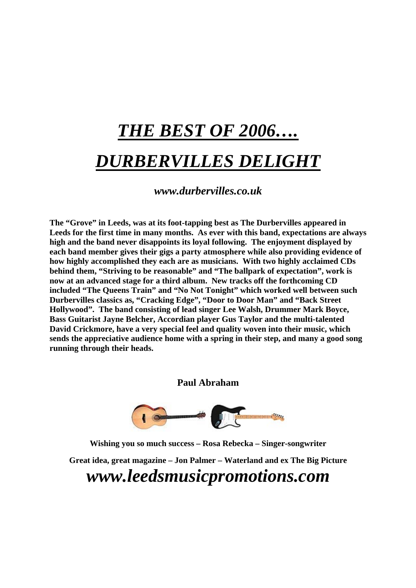# *THE BEST OF 2006…. DURBERVILLES DELIGHT*

*www.durbervilles.co.uk* 

**The "Grove" in Leeds, was at its foot-tapping best as The Durbervilles appeared in Leeds for the first time in many months. As ever with this band, expectations are always high and the band never disappoints its loyal following. The enjoyment displayed by each band member gives their gigs a party atmosphere while also providing evidence of how highly accomplished they each are as musicians. With two highly acclaimed CDs behind them, "Striving to be reasonable" and "The ballpark of expectation", work is now at an advanced stage for a third album. New tracks off the forthcoming CD included "The Queens Train" and "No Not Tonight" which worked well between such Durbervilles classics as, "Cracking Edge", "Door to Door Man" and "Back Street Hollywood". The band consisting of lead singer Lee Walsh, Drummer Mark Boyce, Bass Guitarist Jayne Belcher, Accordian player Gus Taylor and the multi-talented David Crickmore, have a very special feel and quality woven into their music, which sends the appreciative audience home with a spring in their step, and many a good song running through their heads.** 

**Paul Abraham** 



**Wishing you so much success – Rosa Rebecka – Singer-songwriter** 

**Great idea, great magazine – Jon Palmer – Waterland and ex The Big Picture**